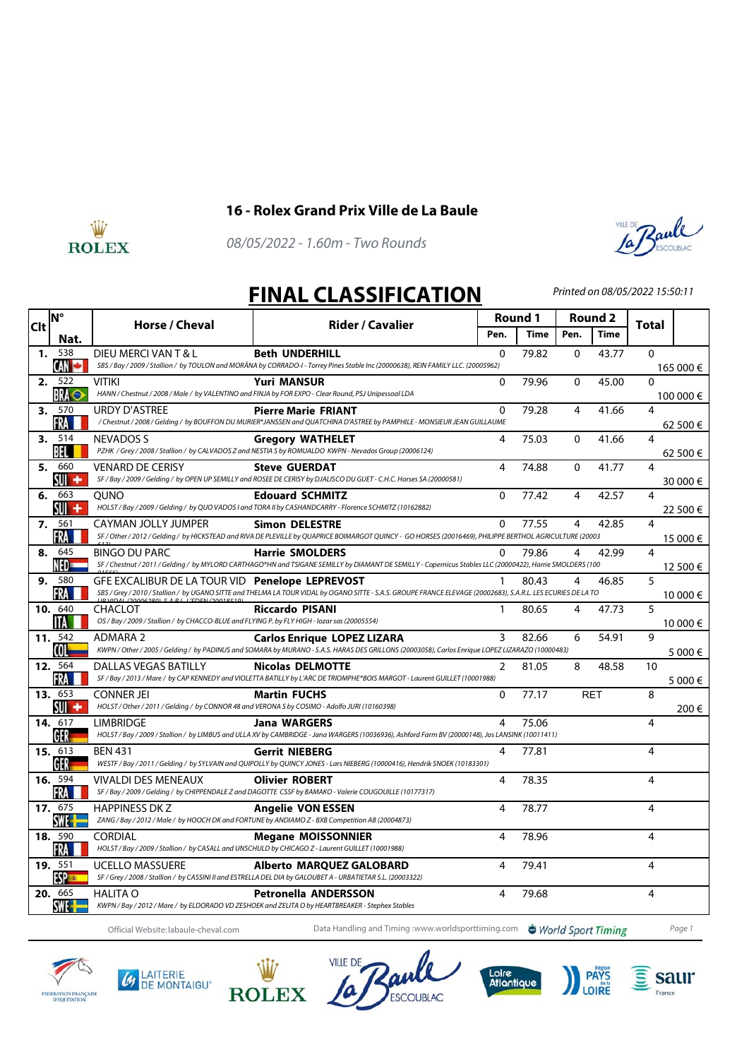



**16 - Rolex Grand Prix Ville de La Baule**

08/05/2022 - 1.60m - Two Rounds



## **FINAL CLASSIFICATION**

Printed on 08/05/2022 15:50:11

| <b>N°</b><br><b>Clt</b><br>Nat. |                        | Horse / Cheval<br><b>Rider / Cavalier</b>                                                                          |                                                                                                                                                                                                                  | <b>Round 1</b> |       | <b>Round 2</b> |            | Total    |           |
|---------------------------------|------------------------|--------------------------------------------------------------------------------------------------------------------|------------------------------------------------------------------------------------------------------------------------------------------------------------------------------------------------------------------|----------------|-------|----------------|------------|----------|-----------|
|                                 |                        |                                                                                                                    | Pen.                                                                                                                                                                                                             | <b>Time</b>    | Pen.  | <b>Time</b>    |            |          |           |
| 1.                              | 538                    | DIEU MERCI VAN T & L                                                                                               | <b>Beth UNDERHILL</b>                                                                                                                                                                                            | $\Omega$       | 79.82 | $\mathbf{0}$   | 43.77      | $\Omega$ |           |
|                                 | <b>CAN C</b>           |                                                                                                                    | SBS / Bay / 2009 / Stallion / by TOULON and MORÄNA by CORRADO-I - Torrey Pines Stable Inc (20000638), REIN FAMILY LLC. (20005962)                                                                                |                |       |                |            |          | 165 000 € |
|                                 | 2. 522<br><b>BRA</b>   | <b>VITIKI</b>                                                                                                      | <b>Yuri MANSUR</b><br>HANN / Chestnut / 2008 / Male / by VALENTINO and FINJA by FOR EXPO - Clear Round, PSJ Unipessoal LDA                                                                                       | $\Omega$       | 79.96 | 0              | 45.00      | $\Omega$ | 100 000 € |
|                                 | 3. 570                 | <b>URDY D'ASTREE</b>                                                                                               | <b>Pierre Marie FRIANT</b>                                                                                                                                                                                       | $\Omega$       | 79.28 | 4              | 41.66      | 4        |           |
|                                 | FRA                    |                                                                                                                    | / Chestnut / 2008 / Gelding / by BOUFFON DU MURIER*JANSSEN and QUATCHINA D'ASTREE by PAMPHILE - MONSIEUR JEAN GUILLAUME                                                                                          |                |       |                |            |          | 62 500 €  |
|                                 | 3. 514<br>BEL          | <b>NEVADOS S</b>                                                                                                   | <b>Gregory WATHELET</b><br>PZHK / Grey / 2008 / Stallion / by CALVADOS Z and NESTIA S by ROMUALDO KWPN - Nevados Group (20006124)                                                                                | 4              | 75.03 | $\mathbf{0}$   | 41.66      | 4        | 62 500 €  |
| 5.                              | 660<br>su +            | <b>VENARD DE CERISY</b>                                                                                            | <b>Steve GUERDAT</b><br>SF / Bay / 2009 / Gelding / by OPEN UP SEMILLY and ROSEE DE CERISY by DJALISCO DU GUET - C.H.C. Horses SA (20000581)                                                                     | 4              | 74.88 | $\mathbf{0}$   | 41.77      | 4        | 30 000 €  |
| 6.                              | 663<br>$SW +$          | OUNO                                                                                                               | <b>Edouard SCHMITZ</b><br>HOLST / Bay / 2009 / Gelding / by QUO VADOS I and TORA II by CASHANDCARRY - Florence SCHMITZ (10162882)                                                                                | $\mathbf{0}$   | 77.42 | 4              | 42.57      | 4        | 22 500 €  |
|                                 | 7. 561                 | CAYMAN JOLLY JUMPER                                                                                                | <b>Simon DELESTRE</b>                                                                                                                                                                                            | $\Omega$       | 77.55 | 4              | 42.85      | 4        |           |
|                                 | FRA                    |                                                                                                                    | SF / Other / 2012 / Gelding / by HICKSTEAD and RIVA DE PLEVILLE by QUAPRICE BOIMARGOT QUINCY - GO HORSES (20016469), PHILIPPE BERTHOL AGRICULTURE (20003                                                         |                |       |                |            |          | 15 000 €  |
| 8.                              | 645<br>$NED =$         | <b>BINGO DU PARC</b>                                                                                               | <b>Harrie SMOLDERS</b><br>SF / Chestnut / 2011 / Gelding / by MYLORD CARTHAGO*HN and TSIGANE SEMILLY by DIAMANT DE SEMILLY - Copernicus Stables LLC (20000422), Harrie SMOLDERS (100                             | $\Omega$       | 79.86 | 4              | 42.99      | 4        | 12 500 €  |
| 9.                              | 580<br>FRA             | GFE EXCALIBUR DE LA TOUR VID Penelope LEPREVOST                                                                    | SBS / Grey / 2010 / Stallion / by UGANO SITTE and THELMA LA TOUR VIDAL by OGANO SITTE - S.A.S. GROUPE FRANCE ELEVAGE (20002683), S.A.R.L. LES ECURIES DE LA TO<br>UR VIDAL (20006280), S.A.R.L. UEDEN (20019510) | 1              | 80.43 | 4              | 46.85      | 5        | 10 000 €  |
|                                 | 10. 640<br>ITA         | CHACLOT<br>OS / Bay / 2009 / Stallion / by CHACCO-BLUE and FLYING P. by FLY HIGH - lozar sas (20005554)            | <b>Riccardo PISANI</b>                                                                                                                                                                                           | 1              | 80.65 | 4              | 47.73      | 5        | 10 000 €  |
|                                 | 11. 542<br>COL-        | <b>ADMARA 2</b>                                                                                                    | <b>Carlos Enrique LOPEZ LIZARA</b><br>KWPN / Other / 2005 / Gelding / by PADINUS and SOMARA by MURANO - S.A.S. HARAS DES GRILLONS (20003058), Carlos Enrique LOPEZ LIZARAZO (10000483)                           | 3              | 82.66 | 6              | 54.91      | q        | 5 000 €   |
|                                 | 12. 564<br>FRA         | DALLAS VEGAS BATILLY                                                                                               | <b>Nicolas DELMOTTE</b><br>SF / Bay / 2013 / Mare / by CAP KENNEDY and VIOLETTA BATILLY by L'ARC DE TRIOMPHE*BOIS MARGOT - Laurent GUILLET (10001988)                                                            | $\overline{2}$ | 81.05 | 8              | 48.58      | 10       | 5 000 €   |
|                                 | 13. 653<br>SUI +       | <b>CONNER JEI</b><br>HOLST / Other / 2011 / Gelding / by CONNOR 48 and VERONA S by COSIMO - Adolfo JURI (10160398) | <b>Martin FUCHS</b>                                                                                                                                                                                              | $\mathbf{0}$   | 77.17 |                | <b>RET</b> | 8        | 200€      |
|                                 | 14. 617<br>GER         | <b>LIMBRIDGE</b>                                                                                                   | <b>Jana WARGERS</b><br>HOLST / Bay / 2009 / Stallion / by LIMBUS and ULLA XV by CAMBRIDGE - Jana WARGERS (10036936), Ashford Farm BV (20000148), Jos LANSINK (10011411)                                          | 4              | 75.06 |                |            | 4        |           |
|                                 | 15. 613<br>GER         | <b>BEN 431</b>                                                                                                     | <b>Gerrit NIEBERG</b><br>WESTF / Bay / 2011 / Gelding / by SYLVAIN and QUIPOLLY by QUINCY JONES - Lars NIEBERG (10000416), Hendrik SNOEK (10183301)                                                              | 4              | 77.81 |                |            | 4        |           |
|                                 | 16. 594<br>FRA         | <b>VIVALDI DES MENEAUX</b>                                                                                         | <b>Olivier ROBERT</b><br>SF / Bay / 2009 / Gelding / by CHIPPENDALE Z and DAGOTTE CSSF by BAMAKO - Valerie COUGOUILLE (10177317)                                                                                 | $\overline{4}$ | 78.35 |                |            | 4        |           |
|                                 | 17. 675<br><b>SWE-</b> | <b>HAPPINESS DK Z</b>                                                                                              | <b>Angelie VON ESSEN</b><br>ZANG / Bay / 2012 / Male / by HOOCH DK and FORTUNE by ANDIAMO Z - BXB Competition AB (20004873)                                                                                      | 4              | 78.77 |                |            | 4        |           |
|                                 | 18. 590<br>FRA         | <b>CORDIAL</b><br>HOLST / Bay / 2009 / Stallion / by CASALL and UNSCHULD by CHICAGO Z - Laurent GUILLET (10001988) | <b>Megane MOISSONNIER</b>                                                                                                                                                                                        | 4              | 78.96 |                |            | 4        |           |
|                                 | 19. 551<br><b>ESP</b>  | <b>UCELLO MASSUERE</b>                                                                                             | <b>Alberto MARQUEZ GALOBARD</b><br>SF / Grey / 2008 / Stallion / by CASSINI II and ESTRELLA DEL DIA by GALOUBET A - URBATIETAR S.L. (20003322)                                                                   | 4              | 79.41 |                |            | 4        |           |
|                                 | 20. 665<br>SWE -       | <b>HALITA O</b>                                                                                                    | <b>Petronella ANDERSSON</b><br>KWPN / Bay / 2012 / Mare / by ELDORADO VD ZESHOEK and ZELITA O by HEARTBREAKER - Stephex Stables                                                                                  | 4              | 79.68 |                |            | 4        |           |

Official Website:labaule-cheval.com Data Handling and Timing :www.worldsporttiming.com World Sport Timing Page 1